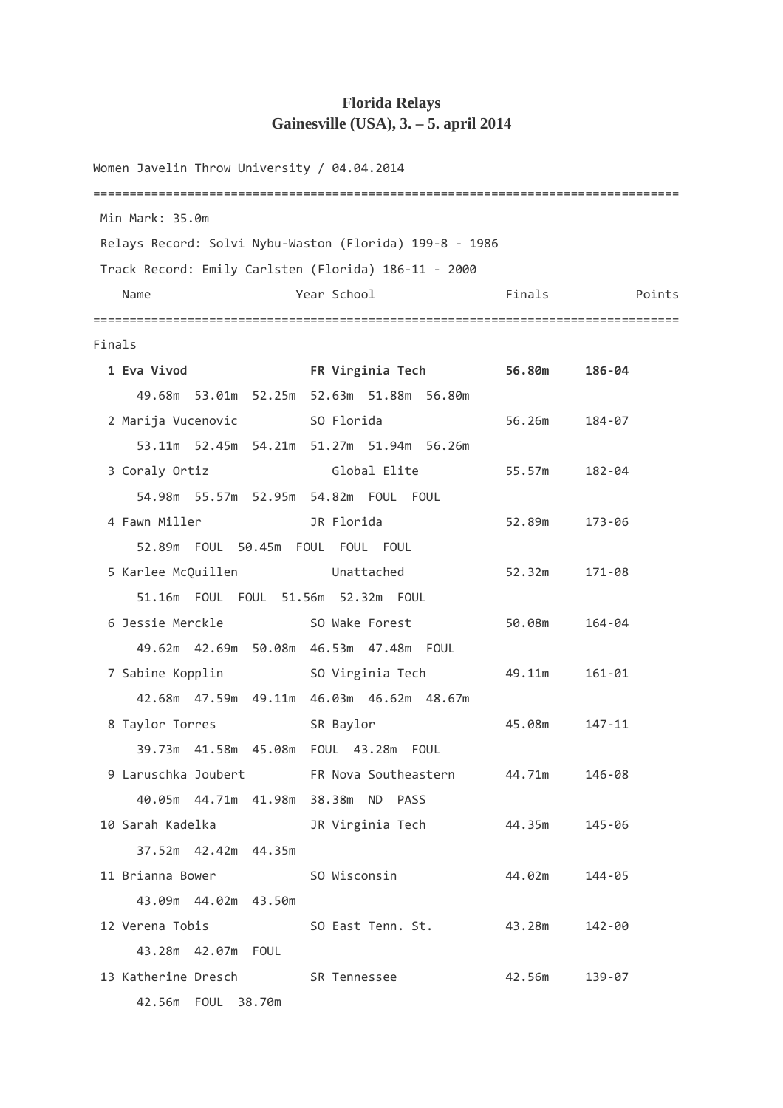## **Florida Relays Gainesville (USA), 3. – 5. april 2014**

Women Javelin Throw University / 04.04.2014 ================================================================================= Min Mark: 35.0m Relays Record: Solvi Nybu-Waston (Florida) 199-8 - 1986 Track Record: Emily Carlsten (Florida) 186-11 - 2000 Name **The Year School** Points Points Points ================================================================================= Finals  **1 Eva Vivod FR Virginia Tech 56.80m 186-04**  49.68m 53.01m 52.25m 52.63m 51.88m 56.80m 2 Marija Vucenovic SO Florida 56.26m 184-07 53.11m 52.45m 54.21m 51.27m 51.94m 56.26m 3 Coraly Ortiz Global Elite 55.57m 182-04 54.98m 55.57m 52.95m 54.82m FOUL FOUL 4 Fawn Miller JR Florida 52.89m 173-06 52.89m FOUL 50.45m FOUL FOUL FOUL 5 Karlee McQuillen Unattached 52.32m 171-08 51.16m FOUL FOUL 51.56m 52.32m FOUL 6 Jessie Merckle SO Wake Forest 50.08m 164-04 49.62m 42.69m 50.08m 46.53m 47.48m FOUL 7 Sabine Kopplin SO Virginia Tech 49.11m 161-01 42.68m 47.59m 49.11m 46.03m 46.62m 48.67m 8 Taylor Torres SR Baylor 45.08m 147-11 39.73m 41.58m 45.08m FOUL 43.28m FOUL 9 Laruschka Joubert FR Nova Southeastern 44.71m 146-08 40.05m 44.71m 41.98m 38.38m ND PASS 10 Sarah Kadelka JR Virginia Tech 44.35m 145-06 37.52m 42.42m 44.35m 11 Brianna Bower SO Wisconsin 44.02m 144-05 43.09m 44.02m 43.50m 12 Verena Tobis SO East Tenn. St. 43.28m 142-00 43.28m 42.07m FOUL 13 Katherine Dresch SR Tennessee 42.56m 139-07 42.56m FOUL 38.70m